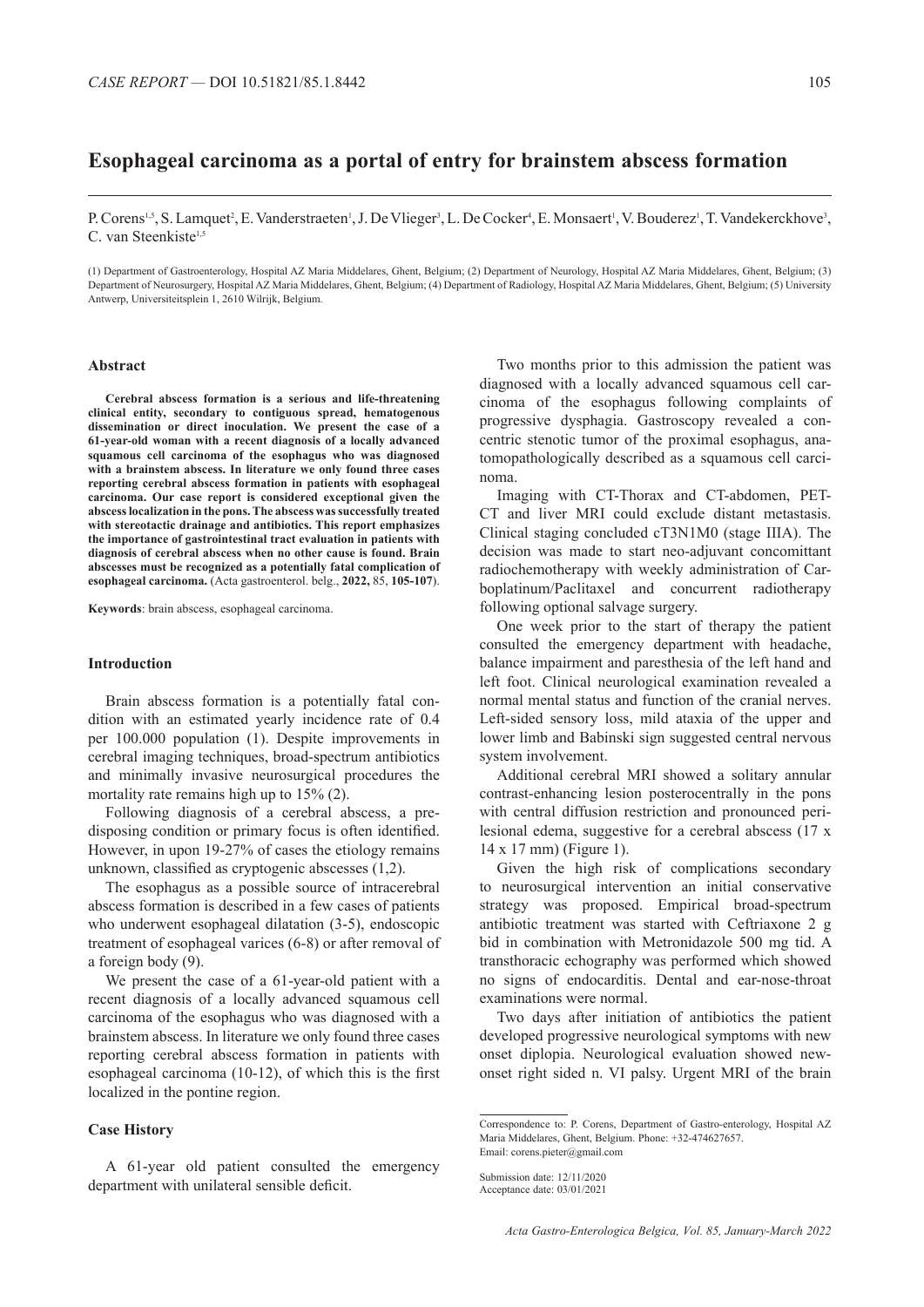# **Esophageal carcinoma as a portal of entry for brainstem abscess formation**

P. Corens<sup>1,5</sup>, S. Lamquet<sup>2</sup>, E. Vanderstraeten<sup>1</sup>, J. De Vlieger<sup>3</sup>, L. De Cocker<sup>4</sup>, E. Monsaert<sup>1</sup>, V. Bouderez<sup>1</sup>, T. Vandekerckhove<sup>3</sup>, C. van Steenkiste<sup>1,5</sup>

(1) Department of Gastroenterology, Hospital AZ Maria Middelares, Ghent, Belgium; (2) Department of Neurology, Hospital AZ Maria Middelares, Ghent, Belgium; (3) Department of Neurosurgery, Hospital AZ Maria Middelares, Ghent, Belgium; (4) Department of Radiology, Hospital AZ Maria Middelares, Ghent, Belgium; (5) University Antwerp, Universiteitsplein 1, 2610 Wilrijk, Belgium.

### **Abstract**

**Cerebral abscess formation is a serious and life-threatening clinical entity, secondary to contiguous spread, hematogenous dissemination or direct inoculation. We present the case of a 61-year-old woman with a recent diagnosis of a locally advanced squamous cell carcinoma of the esophagus who was diagnosed with a brainstem abscess. In literature we only found three cases reporting cerebral abscess formation in patients with esophageal carcinoma. Our case report is considered exceptional given the abscess localization in the pons. The abscess was successfully treated with stereotactic drainage and antibiotics. This report emphasizes the importance of gastrointestinal tract evaluation in patients with diagnosis of cerebral abscess when no other cause is found. Brain abscesses must be recognized as a potentially fatal complication of esophageal carcinoma.** (Acta gastroenterol. belg., **2022,** 85, **105-107**).

**Keywords**: brain abscess, esophageal carcinoma.

#### **Introduction**

Brain abscess formation is a potentially fatal condition with an estimated yearly incidence rate of 0.4 per 100.000 population (1). Despite improvements in cerebral imaging techniques, broad-spectrum antibiotics and minimally invasive neurosurgical procedures the mortality rate remains high up to 15% (2).

Following diagnosis of a cerebral abscess, a predisposing condition or primary focus is often identified. However, in upon 19-27% of cases the etiology remains unknown, classified as cryptogenic abscesses (1,2).

The esophagus as a possible source of intracerebral abscess formation is described in a few cases of patients who underwent esophageal dilatation (3-5), endoscopic treatment of esophageal varices (6-8) or after removal of a foreign body (9).

We present the case of a 61-year-old patient with a recent diagnosis of a locally advanced squamous cell carcinoma of the esophagus who was diagnosed with a brainstem abscess. In literature we only found three cases reporting cerebral abscess formation in patients with esophageal carcinoma (10-12), of which this is the first localized in the pontine region.

#### **Case History**

A 61-year old patient consulted the emergency department with unilateral sensible deficit.

Two months prior to this admission the patient was diagnosed with a locally advanced squamous cell carcinoma of the esophagus following complaints of progressive dysphagia. Gastroscopy revealed a concentric stenotic tumor of the proximal esophagus, anatomopathologically described as a squamous cell carcinoma.

Imaging with CT-Thorax and CT-abdomen, PET-CT and liver MRI could exclude distant metastasis. Clinical staging concluded cT3N1M0 (stage IIIA). The decision was made to start neo-adjuvant concomittant radiochemotherapy with weekly administration of Carboplatinum/Paclitaxel and concurrent radiotherapy following optional salvage surgery.

One week prior to the start of therapy the patient consulted the emergency department with headache, balance impairment and paresthesia of the left hand and left foot. Clinical neurological examination revealed a normal mental status and function of the cranial nerves. Left-sided sensory loss, mild ataxia of the upper and lower limb and Babinski sign suggested central nervous system involvement.

Additional cerebral MRI showed a solitary annular contrast-enhancing lesion posterocentrally in the pons with central diffusion restriction and pronounced perilesional edema, suggestive for a cerebral abscess (17 x 14 x 17 mm) (Figure 1).

Given the high risk of complications secondary to neurosurgical intervention an initial conservative strategy was proposed. Empirical broad-spectrum antibiotic treatment was started with Ceftriaxone 2 g bid in combination with Metronidazole 500 mg tid. A transthoracic echography was performed which showed no signs of endocarditis. Dental and ear-nose-throat examinations were normal.

Two days after initiation of antibiotics the patient developed progressive neurological symptoms with new onset diplopia. Neurological evaluation showed newonset right sided n. VI palsy. Urgent MRI of the brain

Correspondence to: P. Corens, Department of Gastro-enterology, Hospital AZ Maria Middelares, Ghent, Belgium. Phone: +32-474627657. Email: corens.pieter@gmail.com

Submission date: 12/11/2020 Acceptance date: 03/01/2021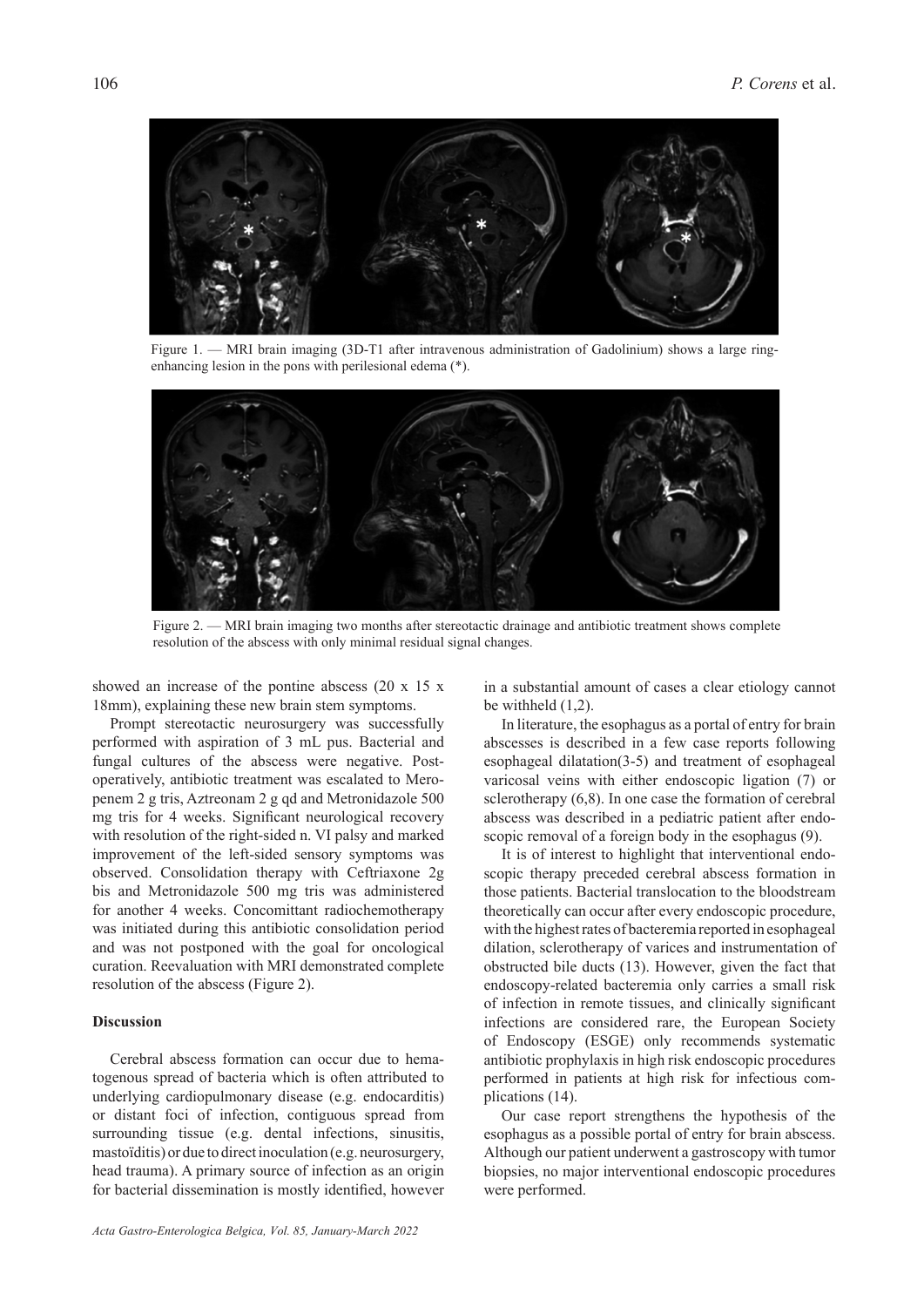

Figure 1. — MRI brain imaging (3D-T1 after intravenous administration of Gadolinium) shows a large ringenhancing lesion in the pons with perilesional edema (\*).



Figure 2. — MRI brain imaging two months after stereotactic drainage and antibiotic treatment shows complete resolution of the abscess with only minimal residual signal changes.

showed an increase of the pontine abscess (20 x 15 x 18mm), explaining these new brain stem symptoms.

Prompt stereotactic neurosurgery was successfully performed with aspiration of 3 mL pus. Bacterial and fungal cultures of the abscess were negative. Postoperatively, antibiotic treatment was escalated to Meropenem 2 g tris, Aztreonam 2 g qd and Metronidazole 500 mg tris for 4 weeks. Significant neurological recovery with resolution of the right-sided n. VI palsy and marked improvement of the left-sided sensory symptoms was observed. Consolidation therapy with Ceftriaxone 2g bis and Metronidazole 500 mg tris was administered for another 4 weeks. Concomittant radiochemotherapy was initiated during this antibiotic consolidation period and was not postponed with the goal for oncological curation. Reevaluation with MRI demonstrated complete resolution of the abscess (Figure 2).

## **Discussion**

Cerebral abscess formation can occur due to hematogenous spread of bacteria which is often attributed to underlying cardiopulmonary disease (e.g. endocarditis) or distant foci of infection, contiguous spread from surrounding tissue (e.g. dental infections, sinusitis, mastoïditis) or due to direct inoculation (e.g. neurosurgery, head trauma). A primary source of infection as an origin for bacterial dissemination is mostly identified, however

*Acta Gastro-Enterologica Belgica, Vol. 85, January-March 2022*

in a substantial amount of cases a clear etiology cannot be withheld (1,2).

In literature, the esophagus as a portal of entry for brain abscesses is described in a few case reports following esophageal dilatation(3-5) and treatment of esophageal varicosal veins with either endoscopic ligation (7) or sclerotherapy (6,8). In one case the formation of cerebral abscess was described in a pediatric patient after endoscopic removal of a foreign body in the esophagus (9).

It is of interest to highlight that interventional endoscopic therapy preceded cerebral abscess formation in those patients. Bacterial translocation to the bloodstream theoretically can occur after every endoscopic procedure, with the highest rates of bacteremia reported in esophageal dilation, sclerotherapy of varices and instrumentation of obstructed bile ducts (13). However, given the fact that endoscopy-related bacteremia only carries a small risk of infection in remote tissues, and clinically significant infections are considered rare, the European Society of Endoscopy (ESGE) only recommends systematic antibiotic prophylaxis in high risk endoscopic procedures performed in patients at high risk for infectious complications (14).

Our case report strengthens the hypothesis of the esophagus as a possible portal of entry for brain abscess. Although our patient underwent a gastroscopy with tumor biopsies, no major interventional endoscopic procedures were performed.